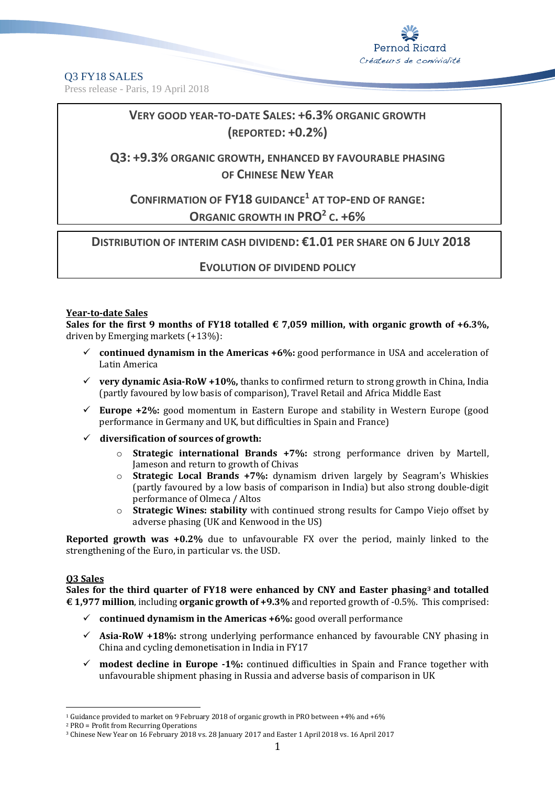Press release - Paris, 19 April 2018



## **VERY GOOD YEAR-TO-DATE SALES: +6.3% ORGANIC GROWTH (REPORTED: +0.2%)**

# **Q3: +9.3% ORGANIC GROWTH, ENHANCED BY FAVOURABLE PHASING OF CHINESE NEW YEAR**

# **CONFIRMATION OF FY18 GUIDANCE<sup>1</sup> AT TOP-END OF RANGE: ORGANIC GROWTH IN PRO<sup>2</sup> C. +6%**

**DISTRIBUTION OF INTERIM CASH DIVIDEND: €1.01 PER SHARE ON 6 JULY 2018**

## **EVOLUTION OF DIVIDEND POLICY**

## **Year-to-date Sales**

Sales for the first 9 months of FY18 totalled € 7,059 million, with organic growth of +6.3%, driven by Emerging markets (+13%):

- ✓ **continued dynamism in the Americas +6%:** good performance in USA and acceleration of Latin America
- $\checkmark$  **very dynamic Asia-RoW +10%,** thanks to confirmed return to strong growth in China, India (partly favoured by low basis of comparison), Travel Retail and Africa Middle East
- ✓ **Europe +2%:** good momentum in Eastern Europe and stability in Western Europe (good performance in Germany and UK, but difficulties in Spain and France)
- ✓ **diversification of sources of growth:**
	- o **Strategic international Brands +7%:** strong performance driven by Martell, Jameson and return to growth of Chivas
	- o **Strategic Local Brands +7%:** dynamism driven largely by Seagram's Whiskies (partly favoured by a low basis of comparison in India) but also strong double-digit performance of Olmeca / Altos
	- o **Strategic Wines: stability** with continued strong results for Campo Viejo offset by adverse phasing (UK and Kenwood in the US)

**Reported growth was +0.2%** due to unfavourable FX over the period, mainly linked to the strengthening of the Euro, in particular vs. the USD.

## **Q3 Sales**

 $\overline{a}$ 

**Sales for the third quarter of FY18 were enhanced by CNY and Easter phasing<sup>3</sup> and totalled € 1,977 million**, including **organic growth of +9.3%** and reported growth of -0.5%. This comprised:

- ✓ **continued dynamism in the Americas +6%:** good overall performance
- ✓ **Asia-RoW +18%:** strong underlying performance enhanced by favourable CNY phasing in China and cycling demonetisation in India in FY17
- ✓ **modest decline in Europe -1%:** continued difficulties in Spain and France together with unfavourable shipment phasing in Russia and adverse basis of comparison in UK

<sup>1</sup> Guidance provided to market on 9 February 2018 of organic growth in PRO between +4% and +6%

<sup>2</sup> PRO = Profit from Recurring Operations

<sup>3</sup> Chinese New Year on 16 February 2018 vs. 28 January 2017 and Easter 1 April 2018 vs. 16 April 2017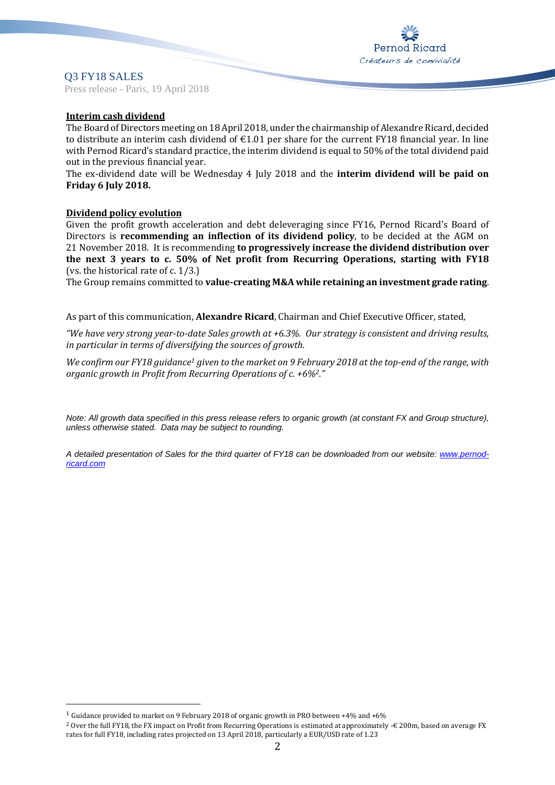Press release - Paris, 19 April 2018

### **Interim cash dividend**

The Board of Directors meeting on 18 April 2018, under the chairmanship of Alexandre Ricard, decided to distribute an interim cash dividend of €1.01 per share for the current FY18 financial year. In line with Pernod Ricard's standard practice, the interim dividend is equal to 50% of the total dividend paid out in the previous financial year.

Pernod Ricard Créateurs de convivialité

The ex-dividend date will be Wednesday 4 July 2018 and the **interim dividend will be paid on Friday 6 July 2018.**

#### **Dividend policy evolution**

 $\overline{a}$ 

Given the profit growth acceleration and debt deleveraging since FY16, Pernod Ricard's Board of Directors is **recommending an inflection of its dividend policy**, to be decided at the AGM on 21 November 2018. It is recommending **to progressively increase the dividend distribution over the next 3 years to c. 50% of Net profit from Recurring Operations, starting with FY18** (vs. the historical rate of c. 1/3.)

The Group remains committed to **value-creating M&A while retaining an investment grade rating**.

As part of this communication, **Alexandre Ricard**, Chairman and Chief Executive Officer, stated,

*"We have very strong year-to-date Sales growth at +6.3%. Our strategy is consistent and driving results, in particular in terms of diversifying the sources of growth.*

*We confirm our FY18 guidance<sup>1</sup> given to the market on 9 February 2018 at the top-end of the range, with organic growth in Profit from Recurring Operations of c. +6%2."*

*Note: All growth data specified in this press release refers to organic growth (at constant FX and Group structure), unless otherwise stated. Data may be subject to rounding.*

*A detailed presentation of Sales for the third quarter of FY18 can be downloaded from our website: [www.pernod](http://www.pernod-ricard.com/)[ricard.com](http://www.pernod-ricard.com/)*

<sup>1</sup> Guidance provided to market on 9 February 2018 of organic growth in PRO between +4% and +6%

<sup>2</sup> Over the full FY18, the FX impact on Profit from Recurring Operations is estimated at approximately -€ 200m, based on average FX rates for full FY18, including rates projected on 13 April 2018, particularly a EUR/USD rate of 1.23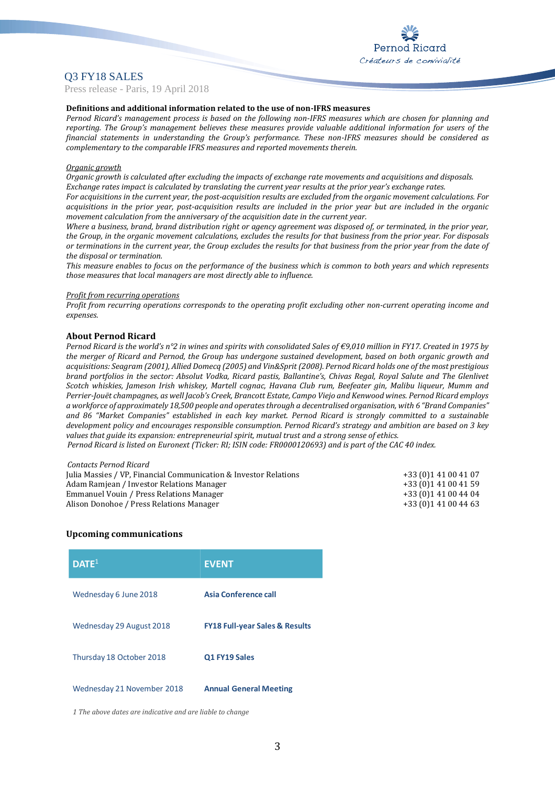Press release - Paris, 19 April 2018

#### **Definitions and additional information related to the use of non-IFRS measures**

*Pernod Ricard's management process is based on the following non-IFRS measures which are chosen for planning and reporting. The Group's management believes these measures provide valuable additional information for users of the financial statements in understanding the Group's performance. These non-IFRS measures should be considered as complementary to the comparable IFRS measures and reported movements therein.*

#### *Organic growth*

*Organic growth is calculated after excluding the impacts of exchange rate movements and acquisitions and disposals. Exchange rates impact is calculated by translating the current year results at the prior year's exchange rates.*

*For acquisitions in the current year, the post-acquisition results are excluded from the organic movement calculations. For acquisitions in the prior year, post-acquisition results are included in the prior year but are included in the organic movement calculation from the anniversary of the acquisition date in the current year.*

*Where a business, brand, brand distribution right or agency agreement was disposed of, or terminated, in the prior year, the Group, in the organic movement calculations, excludes the results for that business from the prior year. For disposals or terminations in the current year, the Group excludes the results for that business from the prior year from the date of the disposal or termination.*

*This measure enables to focus on the performance of the business which is common to both years and which represents those measures that local managers are most directly able to influence.*

#### *Profit from recurring operations*

*Profit from recurring operations corresponds to the operating profit excluding other non-current operating income and expenses.*

#### **About Pernod Ricard**

*Pernod Ricard is the world's n°2 in wines and spirits with consolidated Sales of €9,010 million in FY17. Created in 1975 by the merger of Ricard and Pernod, the Group has undergone sustained development, based on both organic growth and acquisitions: Seagram (2001), Allied Domecq (2005) and Vin&Sprit (2008). Pernod Ricard holds one of the most prestigious brand portfolios in the sector: Absolut Vodka, Ricard pastis, Ballantine's, Chivas Regal, Royal Salute and The Glenlivet Scotch whiskies, Jameson Irish whiskey, Martell cognac, Havana Club rum, Beefeater gin, Malibu liqueur, Mumm and Perrier-Jouët champagnes, as well Jacob's Creek, Brancott Estate, Campo Viejo and Kenwood wines. Pernod Ricard employs a workforce of approximately 18,500 people and operates through a decentralised organisation, with 6 "Brand Companies" and 86 "Market Companies" established in each key market. Pernod Ricard is strongly committed to a sustainable development policy and encourages responsible consumption. Pernod Ricard's strategy and ambition are based on 3 key values that guide its expansion: entrepreneurial spirit, mutual trust and a strong sense of ethics. Pernod Ricard is listed on Euronext (Ticker: RI; ISIN code: FR0000120693) and is part of the CAC 40 index.*

#### *Contacts Pernod Ricard*

| +33 (0) 1 41 00 41 07 |
|-----------------------|
| +33 (0) 141 00 41 59  |
| +33 (0) 141 00 44 04  |
| +33 (0) 141 00 44 63  |
|                       |

#### **Upcoming communications**

| $\mathsf{DATE}^1$          | <b>EVENT</b>                              |
|----------------------------|-------------------------------------------|
| Wednesday 6 June 2018      | Asia Conference call                      |
| Wednesday 29 August 2018   | <b>FY18 Full-year Sales &amp; Results</b> |
| Thursday 18 October 2018   | Q1 FY19 Sales                             |
| Wednesday 21 November 2018 | <b>Annual General Meeting</b>             |

*1 The above dates are indicative and are liable to change*